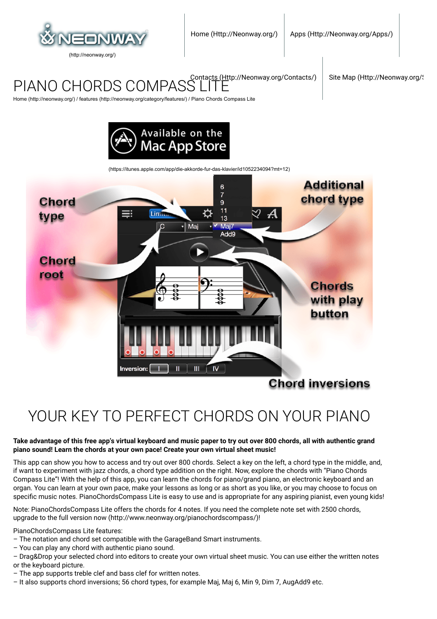

PIANO CHORDS COMPASS

[Contacts \(Http://Neonway.org/Contacts/\)](http://neonway.org/contacts/) Site Map (Http://Neonway.org/)

[Home \(http://neonway.org/\)](http://neonway.org/) / [features \(http://neonway.org/category/features/\)](http://neonway.org/category/features/) / Piano Chords Compass Lite



[\(https://itunes.apple.com/app/die-akkorde-fur-das-klavier/id1052234094?mt=12\)](https://itunes.apple.com/app/die-akkorde-fur-das-klavier/id1052234094?mt=12)



# YOUR KEY TO PERFECT CHORDS ON YOUR PIANO

#### **Take advantage of this free app's virtual keyboard and music paper to try out over 800 chords, all with authentic grand piano sound! Learn the chords at your own pace! Create your own virtual sheet music!**

This app can show you how to access and try out over 800 chords. Select a key on the left, a chord type in the middle, and, if want to experiment with jazz chords, a chord type addition on the right. Now, explore the chords with "Piano Chords Compass Lite"! With the help of this app, you can learn the chords for piano/grand piano, an electronic keyboard and an organ. You can learn at your own pace, make your lessons as long or as short as you like, or you may choose to focus on specific music notes. PianoChordsCompass Lite is easy to use and is appropriate for any aspiring pianist, even young kids!

Note: PianoChordsCompass Lite offers the chords for 4 notes. If you need the complete note set with 2500 chords, upgrade to the [full version now \(http://www.neonway.org/pianochordscompass/\)](http://www.neonway.org/pianochordscompass/)!

PianoChordsCompass Lite features:

- The notation and chord set compatible with the GarageBand Smart instruments.
- You can play any chord with authentic piano sound.
- Drag&Drop your selected chord into editors to create your own virtual sheet music. You can use either the written notes or the keyboard picture.
- The app supports treble clef and bass clef for written notes.
- It also supports chord inversions; 56 chord types, for example Maj, Maj 6, Min 9, Dim 7, AugAdd9 etc.